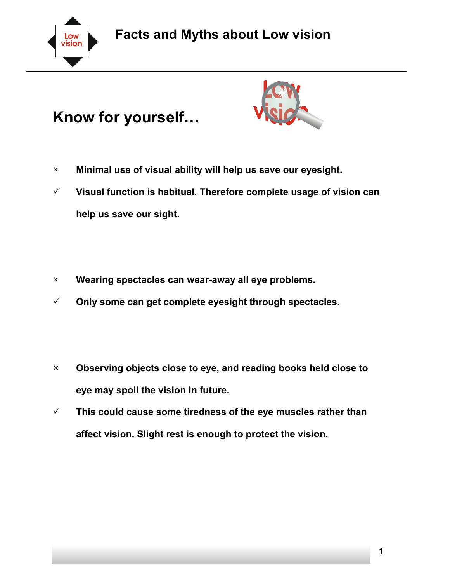

## **Facts and Myths about Low vision**

## **Know for yourself…**



- 2 **Minimal use of visual ability will help us save our eyesight.**
- 3 **Visual function is habitual. Therefore complete usage of vision can help us save our sight.**
- 2 **Wearing spectacles can wear-away all eye problems.**
- 3 **Only some can get complete eyesight through spectacles.**
- 2 **Observing objects close to eye, and reading books held close to eye may spoil the vision in future.**
- $\checkmark$  This could cause some tiredness of the eye muscles rather than **affect vision. Slight rest is enough to protect the vision.**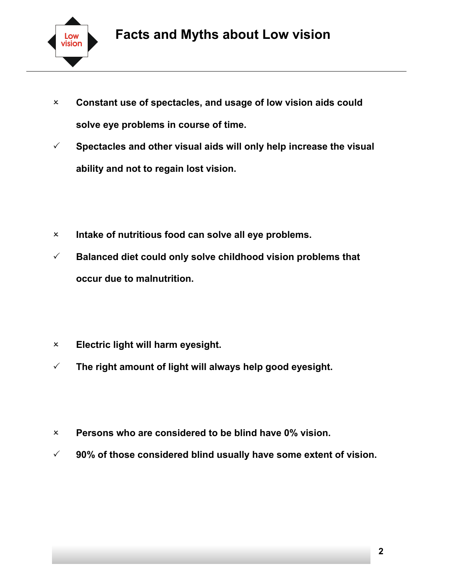

- 2 **Constant use of spectacles, and usage of low vision aids could solve eye problems in course of time.**
- $\checkmark$  Spectacles and other visual aids will only help increase the visual **ability and not to regain lost vision.**
- 2 **Intake of nutritious food can solve all eye problems.**
- 3 **Balanced diet could only solve childhood vision problems that occur due to malnutrition.**
- 2 **Electric light will harm eyesight.**
- $\checkmark$  The right amount of light will always help good eyesight.
- 2 **Persons who are considered to be blind have 0% vision.**
- 3 **90% of those considered blind usually have some extent of vision.**